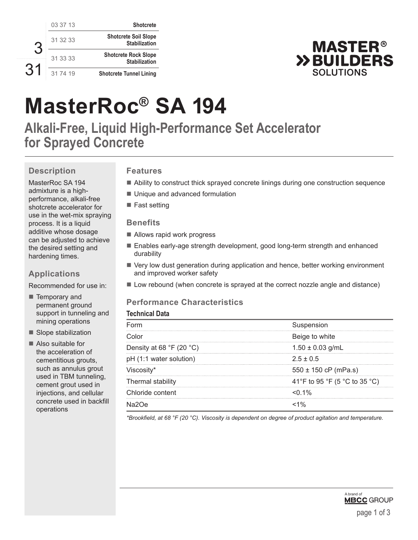| <b>Shotcrete</b>                                    | 03 37 13 |  |
|-----------------------------------------------------|----------|--|
| <b>Shotcrete Soil Slope</b><br><b>Stabilization</b> | 31 32 33 |  |
| <b>Shotcrete Rock Slope</b><br><b>Stabilization</b> | 31 33 33 |  |
| <b>Shotcrete Tunnel Lining</b>                      | 31 74 19 |  |



# **MasterRoc® SA 194**

**Alkali-Free, Liquid High-Performance Set Accelerator for Sprayed Concrete**

# **Description**

MasterRoc SA 194 admixture is a highperformance, alkali-free shotcrete accelerator for use in the wet-mix spraying process. It is a liquid additive whose dosage can be adjusted to achieve the desired setting and hardening times.

# **Applications**

Recommended for use in:

■ Temporary and permanent ground support in tunneling and mining operations

■ Slope stabilization

■ Also suitable for the acceleration of cementitious grouts, such as annulus grout used in TBM tunneling, cement grout used in injections, and cellular concrete used in backfill operations

# **Features**

- Ability to construct thick sprayed concrete linings during one construction sequence
- Unique and advanced formulation
- Fast setting

### **Benefits**

- Allows rapid work progress
- Enables early-age strength development, good long-term strength and enhanced durability
- Very low dust generation during application and hence, better working environment and improved worker safety
- Low rebound (when concrete is sprayed at the correct nozzle angle and distance)

# **Performance Characteristics**

#### **Technical Data**

| <b>E</b> orm                               | Suspension                    |
|--------------------------------------------|-------------------------------|
| Color.                                     | Beige to white                |
| Density at 68 $\degree$ F (20 $\degree$ C) | $1.50 \pm 0.03$ g/mL          |
| pH (1:1 water solution)                    | $2.5 + 0.5$                   |
| Viscosity*                                 | $550 \pm 150$ cP (mPa.s)      |
| Thermal stability                          | 41°F to 95 °F (5 °C to 35 °C) |
| Chloride content                           | $<$ 0.1%                      |
|                                            |                               |

*\*Brookfield, at 68 °F (20 °C). Viscosity is dependent on degree of product agitation and temperature.*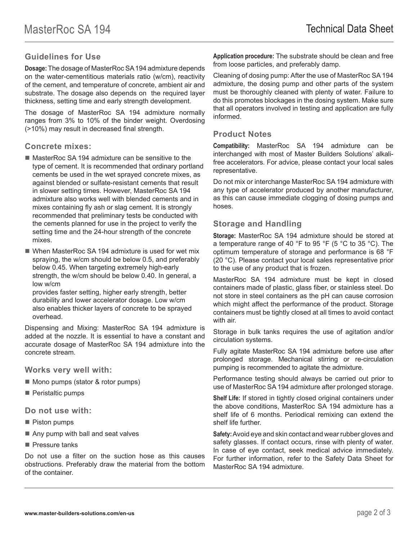## **Guidelines for Use**

**Dosage:** The dosage of MasterRoc SA 194 admixture depends on the water-cementitious materials ratio (w/cm), reactivity of the cement, and temperature of concrete, ambient air and substrate. The dosage also depends on the required layer thickness, setting time and early strength development.

The dosage of MasterRoc SA 194 admixture normally ranges from 3% to 10% of the binder weight. Overdosing (>10%) may result in decreased final strength.

#### **Concrete mixes:**

- MasterRoc SA 194 admixture can be sensitive to the type of cement. It is recommended that ordinary portland cements be used in the wet sprayed concrete mixes, as against blended or sulfate-resistant cements that result in slower setting times. However, MasterRoc SA 194 admixture also works well with blended cements and in mixes containing fly ash or slag cement. It is strongly recommended that preliminary tests be conducted with the cements planned for use in the project to verify the setting time and the 24-hour strength of the concrete mixes.
- When MasterRoc SA 194 admixture is used for wet mix spraying, the w/cm should be below 0.5, and preferably below 0.45. When targeting extremely high-early strength, the w/cm should be below 0.40. In general, a low w/cm

provides faster setting, higher early strength, better durability and lower accelerator dosage. Low w/cm also enables thicker layers of concrete to be sprayed overhead.

Dispensing and Mixing: MasterRoc SA 194 admixture is added at the nozzle. It is essential to have a constant and accurate dosage of MasterRoc SA 194 admixture into the concrete stream.

**Works very well with:**

- Mono pumps (stator & rotor pumps)
- Peristaltic pumps

**Do not use with:**

- **Piston pumps**
- Any pump with ball and seat valves
- **Pressure tanks**

Do not use a filter on the suction hose as this causes obstructions. Preferably draw the material from the bottom of the container.

**Application procedure:** The substrate should be clean and free from loose particles, and preferably damp.

Cleaning of dosing pump: After the use of MasterRoc SA 194 admixture, the dosing pump and other parts of the system must be thoroughly cleaned with plenty of water. Failure to do this promotes blockages in the dosing system. Make sure that all operators involved in testing and application are fully informed.

#### **Product Notes**

**Compatibility:** MasterRoc SA 194 admixture can be interchanged with most of Master Builders Solutions' alkalifree accelerators. For advice, please contact your local sales representative.

Do not mix or interchange MasterRoc SA 194 admixture with any type of accelerator produced by another manufacturer, as this can cause immediate clogging of dosing pumps and hoses.

#### **Storage and Handling**

**Storage:** MasterRoc SA 194 admixture should be stored at a temperature range of 40 °F to 95 °F (5 °C to 35 °C). The optimum temperature of storage and performance is 68 °F (20 °C). Please contact your local sales representative prior to the use of any product that is frozen.

MasterRoc SA 194 admixture must be kept in closed containers made of plastic, glass fiber, or stainless steel. Do not store in steel containers as the pH can cause corrosion which might affect the performance of the product. Storage containers must be tightly closed at all times to avoid contact with air.

Storage in bulk tanks requires the use of agitation and/or circulation systems.

Fully agitate MasterRoc SA 194 admixture before use after prolonged storage. Mechanical stirring or re-circulation pumping is recommended to agitate the admixture.

Performance testing should always be carried out prior to use of MasterRoc SA 194 admixture after prolonged storage.

**Shelf Life:** If stored in tightly closed original containers under the above conditions, MasterRoc SA 194 admixture has a shelf life of 6 months. Periodical remixing can extend the shelf life further.

**Safety:** Avoid eye and skin contact and wear rubber gloves and safety glasses. If contact occurs, rinse with plenty of water. In case of eye contact, seek medical advice immediately. For further information, refer to the Safety Data Sheet for MasterRoc SA 194 admixture.